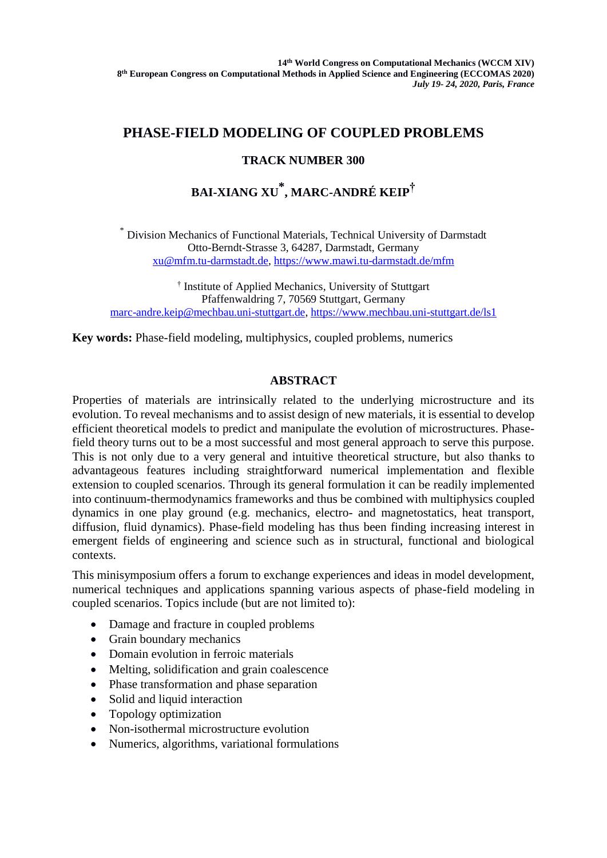## **PHASE-FIELD MODELING OF COUPLED PROBLEMS**

### **TRACK NUMBER 300**

# **BAI-XIANG XU \* , MARC-ANDRÉ KEIP†**

\* Division Mechanics of Functional Materials, Technical University of Darmstadt Otto-Berndt-Strasse 3, 64287, Darmstadt, Germany [xu@mfm.tu-darmstadt.de,](mailto:xu@mfm.tu-darmstadt.de)<https://www.mawi.tu-darmstadt.de/mfm>

† Institute of Applied Mechanics, University of Stuttgart Pfaffenwaldring 7, 70569 Stuttgart, Germany [marc-andre.keip@mechbau.uni-stuttgart.de,](mailto:marc-andre.keip@mechbau.uni-stuttgart.de) [https://www.mechbau.uni-stuttgart.de/ls1](https://www.mechbau.uni-stuttgart.de/ls1/index.html) 

**Key words:** Phase-field modeling, multiphysics, coupled problems, numerics

### **ABSTRACT**

Properties of materials are intrinsically related to the underlying microstructure and its evolution. To reveal mechanisms and to assist design of new materials, it is essential to develop efficient theoretical models to predict and manipulate the evolution of microstructures. Phasefield theory turns out to be a most successful and most general approach to serve this purpose. This is not only due to a very general and intuitive theoretical structure, but also thanks to advantageous features including straightforward numerical implementation and flexible extension to coupled scenarios. Through its general formulation it can be readily implemented into continuum-thermodynamics frameworks and thus be combined with multiphysics coupled dynamics in one play ground (e.g. mechanics, electro- and magnetostatics, heat transport, diffusion, fluid dynamics). Phase-field modeling has thus been finding increasing interest in emergent fields of engineering and science such as in structural, functional and biological contexts.

This minisymposium offers a forum to exchange experiences and ideas in model development, numerical techniques and applications spanning various aspects of phase-field modeling in coupled scenarios. Topics include (but are not limited to):

- Damage and fracture in coupled problems
- Grain boundary mechanics
- Domain evolution in ferroic materials
- Melting, solidification and grain coalescence
- Phase transformation and phase separation
- Solid and liquid interaction
- Topology optimization
- Non-isothermal microstructure evolution
- Numerics, algorithms, variational formulations